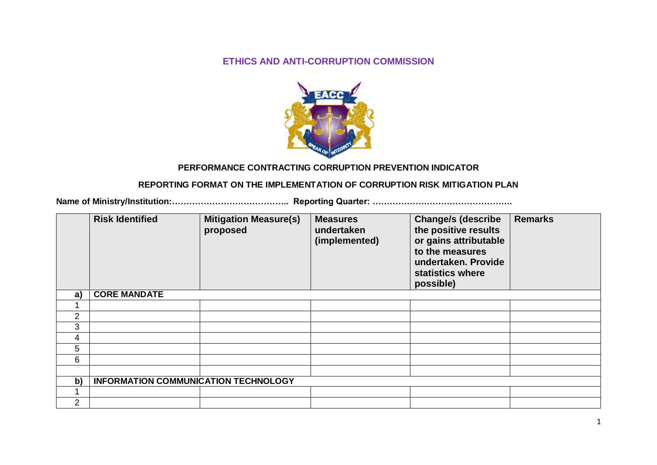### **ETHICS AND ANTI-CORRUPTION COMMISSION**



#### **PERFORMANCE CONTRACTING CORRUPTION PREVENTION INDICATOR**

#### **REPORTING FORMAT ON THE IMPLEMENTATION OF CORRUPTION RISK MITIGATION PLAN**

**Name of Ministry/Institution:………………………………….. Reporting Quarter: ………………………………………….**

|                 | <b>Risk Identified</b>               | <b>Mitigation Measure(s)</b><br>proposed | <b>Measures</b><br>undertaken<br>(implemented) | <b>Change/s (describe</b><br>the positive results<br>or gains attributable<br>to the measures<br>undertaken. Provide<br>statistics where<br>possible) | <b>Remarks</b> |  |  |
|-----------------|--------------------------------------|------------------------------------------|------------------------------------------------|-------------------------------------------------------------------------------------------------------------------------------------------------------|----------------|--|--|
| a)              | <b>CORE MANDATE</b>                  |                                          |                                                |                                                                                                                                                       |                |  |  |
|                 |                                      |                                          |                                                |                                                                                                                                                       |                |  |  |
| $\overline{2}$  |                                      |                                          |                                                |                                                                                                                                                       |                |  |  |
| 3               |                                      |                                          |                                                |                                                                                                                                                       |                |  |  |
| 4               |                                      |                                          |                                                |                                                                                                                                                       |                |  |  |
| $5\overline{)}$ |                                      |                                          |                                                |                                                                                                                                                       |                |  |  |
| 6               |                                      |                                          |                                                |                                                                                                                                                       |                |  |  |
|                 |                                      |                                          |                                                |                                                                                                                                                       |                |  |  |
| b)              | INFORMATION COMMUNICATION TECHNOLOGY |                                          |                                                |                                                                                                                                                       |                |  |  |
|                 |                                      |                                          |                                                |                                                                                                                                                       |                |  |  |
| 2               |                                      |                                          |                                                |                                                                                                                                                       |                |  |  |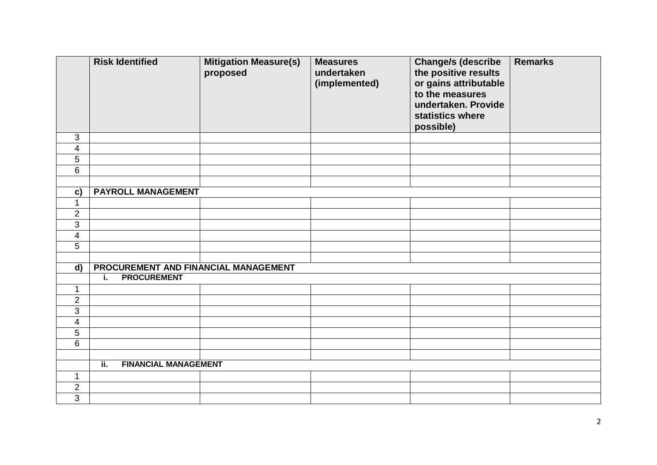|                          | <b>Risk Identified</b>               | <b>Mitigation Measure(s)</b><br>proposed | <b>Measures</b><br>undertaken<br>(implemented) | <b>Change/s (describe</b><br>the positive results<br>or gains attributable<br>to the measures<br>undertaken. Provide<br>statistics where<br>possible) | <b>Remarks</b> |  |  |
|--------------------------|--------------------------------------|------------------------------------------|------------------------------------------------|-------------------------------------------------------------------------------------------------------------------------------------------------------|----------------|--|--|
| 3                        |                                      |                                          |                                                |                                                                                                                                                       |                |  |  |
| $\overline{\mathbf{4}}$  |                                      |                                          |                                                |                                                                                                                                                       |                |  |  |
| 5                        |                                      |                                          |                                                |                                                                                                                                                       |                |  |  |
| 6                        |                                      |                                          |                                                |                                                                                                                                                       |                |  |  |
|                          |                                      |                                          |                                                |                                                                                                                                                       |                |  |  |
| c)                       | <b>PAYROLL MANAGEMENT</b>            |                                          |                                                |                                                                                                                                                       |                |  |  |
| $\mathbf{1}$             |                                      |                                          |                                                |                                                                                                                                                       |                |  |  |
| $\overline{c}$           |                                      |                                          |                                                |                                                                                                                                                       |                |  |  |
| $\overline{3}$           |                                      |                                          |                                                |                                                                                                                                                       |                |  |  |
| $\overline{\mathbf{4}}$  |                                      |                                          |                                                |                                                                                                                                                       |                |  |  |
| 5                        |                                      |                                          |                                                |                                                                                                                                                       |                |  |  |
|                          |                                      |                                          |                                                |                                                                                                                                                       |                |  |  |
| $\overline{d}$           | PROCUREMENT AND FINANCIAL MANAGEMENT |                                          |                                                |                                                                                                                                                       |                |  |  |
|                          | <b>PROCUREMENT</b><br>i.             |                                          |                                                |                                                                                                                                                       |                |  |  |
| 1                        |                                      |                                          |                                                |                                                                                                                                                       |                |  |  |
| $\overline{2}$           |                                      |                                          |                                                |                                                                                                                                                       |                |  |  |
| 3                        |                                      |                                          |                                                |                                                                                                                                                       |                |  |  |
| $\overline{\mathcal{A}}$ |                                      |                                          |                                                |                                                                                                                                                       |                |  |  |
| 5                        |                                      |                                          |                                                |                                                                                                                                                       |                |  |  |
| 6                        |                                      |                                          |                                                |                                                                                                                                                       |                |  |  |
|                          |                                      |                                          |                                                |                                                                                                                                                       |                |  |  |
|                          | <b>FINANCIAL MANAGEMENT</b><br>ii.   |                                          |                                                |                                                                                                                                                       |                |  |  |
| $\mathbf{1}$             |                                      |                                          |                                                |                                                                                                                                                       |                |  |  |
| $\overline{2}$           |                                      |                                          |                                                |                                                                                                                                                       |                |  |  |
| 3                        |                                      |                                          |                                                |                                                                                                                                                       |                |  |  |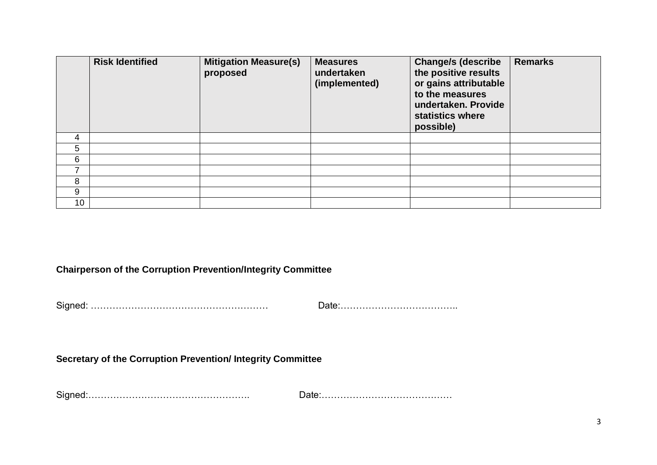|    | <b>Risk Identified</b> | <b>Mitigation Measure(s)</b><br>proposed | <b>Measures</b><br>undertaken<br>(implemented) | <b>Change/s (describe</b><br>the positive results<br>or gains attributable<br>to the measures<br>undertaken. Provide<br>statistics where<br>possible) | <b>Remarks</b> |
|----|------------------------|------------------------------------------|------------------------------------------------|-------------------------------------------------------------------------------------------------------------------------------------------------------|----------------|
| 4  |                        |                                          |                                                |                                                                                                                                                       |                |
| 5  |                        |                                          |                                                |                                                                                                                                                       |                |
| 6  |                        |                                          |                                                |                                                                                                                                                       |                |
| 7  |                        |                                          |                                                |                                                                                                                                                       |                |
| 8  |                        |                                          |                                                |                                                                                                                                                       |                |
| 9  |                        |                                          |                                                |                                                                                                                                                       |                |
| 10 |                        |                                          |                                                |                                                                                                                                                       |                |

## **Chairperson of the Corruption Prevention/Integrity Committee**

Signed: ………………………………………………… Date:………………………………..

# **Secretary of the Corruption Prevention/ Integrity Committee**

Signed:……………………………………………. Date:……………………………………